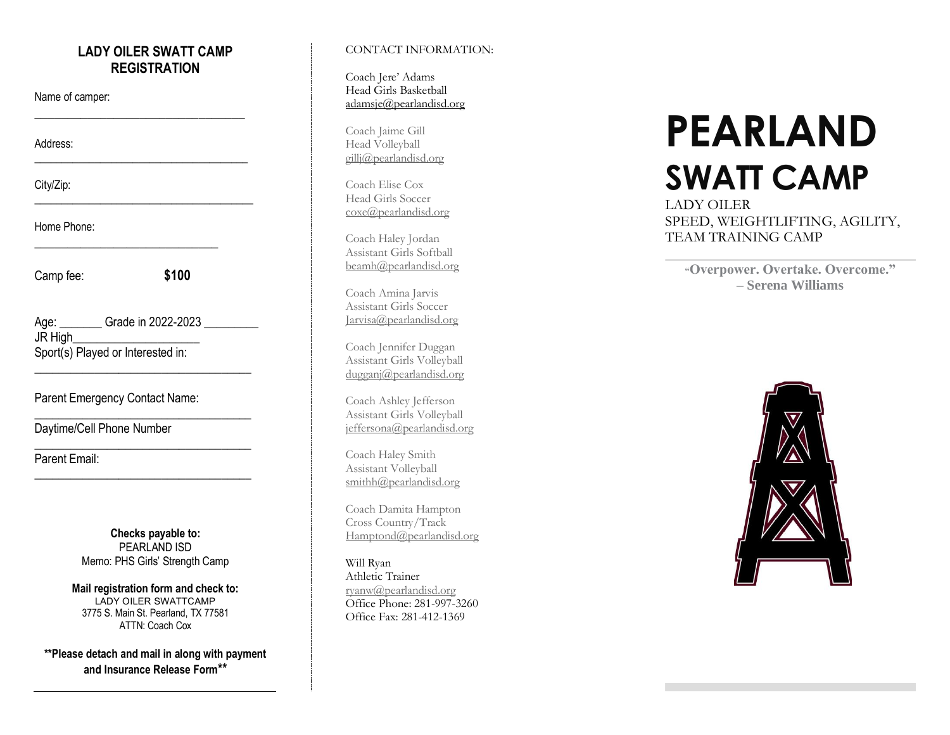#### **LADY OILER SWATT CAMP REGISTRATION**

\_\_\_\_\_\_\_\_\_\_\_\_\_\_\_\_\_\_\_\_\_\_\_\_\_\_\_\_\_\_\_\_

\_\_\_\_\_\_\_\_\_\_\_\_\_\_\_\_\_\_\_\_\_\_\_\_\_\_\_\_\_\_\_\_\_\_\_\_\_\_\_

\_\_\_\_\_\_\_\_\_\_\_\_\_\_\_\_\_\_\_\_\_\_\_\_\_\_\_\_\_\_\_\_\_\_\_\_\_\_\_\_

\_\_\_\_\_\_\_\_\_\_\_\_\_\_\_\_\_\_\_\_\_\_\_\_\_\_\_\_

Name of camper:

Address:

City/Zip:

Home Phone:

Camp fee:

**\$100**

Age: \_\_\_\_\_\_\_\_ Grade in 2022-2023 \_\_\_\_\_\_\_\_\_ JR High\_\_\_\_\_\_\_\_\_\_\_\_\_\_\_\_\_\_\_\_\_ Sport(s) Played or Interested in:

\_\_\_\_\_\_\_\_\_\_\_\_\_\_\_\_\_\_\_\_\_\_\_\_\_\_\_\_\_\_\_\_\_\_\_\_

\_\_\_\_\_\_\_\_\_\_\_\_\_\_\_\_\_\_\_\_\_\_\_\_\_\_\_\_\_\_\_\_\_\_\_\_

\_\_\_\_\_\_\_\_\_\_\_\_\_\_\_\_\_\_\_\_\_\_\_\_\_\_\_\_\_\_\_\_\_\_\_\_

\_\_\_\_\_\_\_\_\_\_\_\_\_\_\_\_\_\_\_\_\_\_\_\_\_\_\_\_\_\_\_\_\_\_\_\_

Parent Emergency Contact Name:

Daytime/Cell Phone Number

Parent Email:

**Checks payable to:**  PEARLAND ISD Memo: PHS Girls' Strength Camp

**Mail registration form and check to:** LADY OILER SWATTCAMP 3775 S. Main St. Pearland, TX 77581 ATTN: Coach Cox

**\*\*Please detach and mail in along with payment and Insurance Release Form\*\***

#### CONTACT INFORMATION:

Coach Jere' Adams Head Girls Basketball adamsje@pearlandisd.org

Coach Jaime Gill Head Volleyball gillj@pearlandisd.org

Coach Elise Cox Head Girls Soccer [coxe@pearlandisd.org](mailto:coxe@pearlandisd.org)

Coach Haley Jordan Assistant Girls Softball beamh@pearlandisd.org

Coach Amina Jarvis Assistant Girls Soccer [Jarvisa@pearlandisd.org](mailto:Jarvisa@pearlandisd.org)

Coach Jennifer Duggan Assistant Girls Volleyball [dugganj@pearlandisd.org](mailto:dugganj@pearlandisd.org)

Coach Ashley Jefferson Assistant Girls Volleyball [jeffersona@pearlandisd.org](mailto:jeffersona@pearlandisd.org)

Coach Haley Smith Assistant Volleyball [smithh@pearlandisd.org](mailto:smithh@pearlandisd.org)

Coach Damita Hampton Cross Country/Track Hamptond@pearlandisd.org

Will Ryan Athletic Trainer [ryanw@pearlandisd.org](mailto:ryanw@pearlandisd.org) Office Phone: 281 -997 -3260 Office Fax: 281 -412 -1369

# **PEARLAND SWATT CAMP**

LADY OILER SPEED, WEIGHTLIFTING, AGILITY, TEAM TRAINING CAMP

**"Overpower. Overtake. Overcome." – Serena Williams**